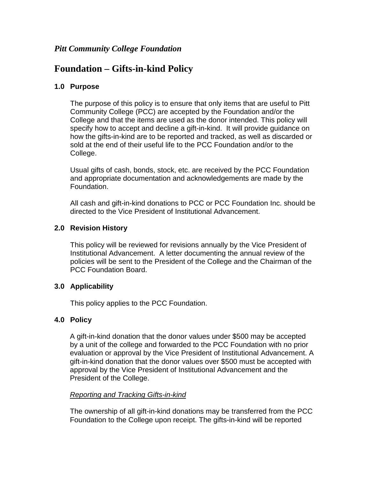# *Pitt Community College Foundation*

# **Foundation – Gifts-in-kind Policy**

#### **1.0 Purpose**

The purpose of this policy is to ensure that only items that are useful to Pitt Community College (PCC) are accepted by the Foundation and/or the College and that the items are used as the donor intended. This policy will specify how to accept and decline a gift-in-kind. It will provide guidance on how the gifts-in-kind are to be reported and tracked, as well as discarded or sold at the end of their useful life to the PCC Foundation and/or to the College.

Usual gifts of cash, bonds, stock, etc. are received by the PCC Foundation and appropriate documentation and acknowledgements are made by the Foundation.

All cash and gift-in-kind donations to PCC or PCC Foundation Inc. should be directed to the Vice President of Institutional Advancement.

#### **2.0 Revision History**

This policy will be reviewed for revisions annually by the Vice President of Institutional Advancement. A letter documenting the annual review of the policies will be sent to the President of the College and the Chairman of the PCC Foundation Board.

## **3.0 Applicability**

This policy applies to the PCC Foundation.

## **4.0 Policy**

A gift-in-kind donation that the donor values under \$500 may be accepted by a unit of the college and forwarded to the PCC Foundation with no prior evaluation or approval by the Vice President of Institutional Advancement. A gift-in-kind donation that the donor values over \$500 must be accepted with approval by the Vice President of Institutional Advancement and the President of the College.

#### *Reporting and Tracking Gifts-in-kind*

The ownership of all gift-in-kind donations may be transferred from the PCC Foundation to the College upon receipt. The gifts-in-kind will be reported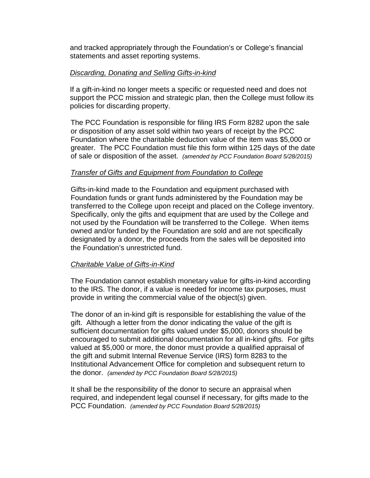and tracked appropriately through the Foundation's or College's financial statements and asset reporting systems.

#### *Discarding, Donating and Selling Gifts-in-kind*

If a gift-in-kind no longer meets a specific or requested need and does not support the PCC mission and strategic plan, then the College must follow its policies for discarding property.

The PCC Foundation is responsible for filing IRS Form 8282 upon the sale or disposition of any asset sold within two years of receipt by the PCC Foundation where the charitable deduction value of the item was \$5,000 or greater. The PCC Foundation must file this form within 125 days of the date of sale or disposition of the asset. *(amended by PCC Foundation Board 5/28/2015)*

#### *Transfer of Gifts and Equipment from Foundation to College*

Gifts-in-kind made to the Foundation and equipment purchased with Foundation funds or grant funds administered by the Foundation may be transferred to the College upon receipt and placed on the College inventory. Specifically, only the gifts and equipment that are used by the College and not used by the Foundation will be transferred to the College. When items owned and/or funded by the Foundation are sold and are not specifically designated by a donor, the proceeds from the sales will be deposited into the Foundation's unrestricted fund.

#### *Charitable Value of Gifts-in-Kind*

The Foundation cannot establish monetary value for gifts-in-kind according to the IRS. The donor, if a value is needed for income tax purposes, must provide in writing the commercial value of the object(s) given.

The donor of an in-kind gift is responsible for establishing the value of the gift. Although a letter from the donor indicating the value of the gift is sufficient documentation for gifts valued under \$5,000, donors should be encouraged to submit additional documentation for all in-kind gifts. For gifts valued at \$5,000 or more, the donor must provide a qualified appraisal of the gift and submit Internal Revenue Service (IRS) form 8283 to the Institutional Advancement Office for completion and subsequent return to the donor. *(amended by PCC Foundation Board 5/28/2015)*

It shall be the responsibility of the donor to secure an appraisal when required, and independent legal counsel if necessary, for gifts made to the PCC Foundation. *(amended by PCC Foundation Board 5/28/2015)*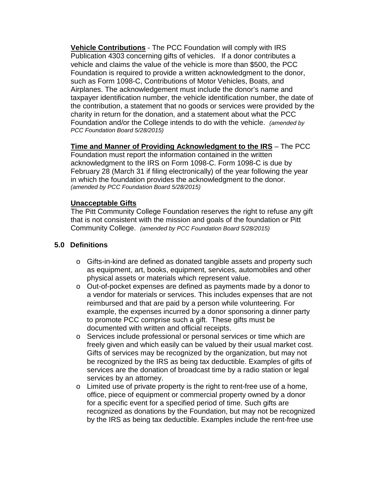**Vehicle Contributions** - The PCC Foundation will comply with IRS Publication 4303 concerning gifts of vehicles. If a donor contributes a vehicle and claims the value of the vehicle is more than \$500, the PCC Foundation is required to provide a written acknowledgment to the donor, such as Form 1098-C, Contributions of Motor Vehicles, Boats, and Airplanes. The acknowledgement must include the donor's name and taxpayer identification number, the vehicle identification number, the date of the contribution, a statement that no goods or services were provided by the charity in return for the donation, and a statement about what the PCC Foundation and/or the College intends to do with the vehicle. *(amended by PCC Foundation Board 5/28/2015)*

**Time and Manner of Providing Acknowledgment to the IRS** – The PCC

Foundation must report the information contained in the written acknowledgment to the IRS on Form 1098-C. Form 1098-C is due by February 28 (March 31 if filing electronically) of the year following the year in which the foundation provides the acknowledgment to the donor. *(amended by PCC Foundation Board 5/28/2015)*

#### **Unacceptable Gifts**

The Pitt Community College Foundation reserves the right to refuse any gift that is not consistent with the mission and goals of the foundation or Pitt Community College. *(amended by PCC Foundation Board 5/28/2015)*

## **5.0 Definitions**

- o Gifts-in-kind are defined as donated tangible assets and property such as equipment, art, books, equipment, services, automobiles and other physical assets or materials which represent value.
- o Out-of-pocket expenses are defined as payments made by a donor to a vendor for materials or services. This includes expenses that are not reimbursed and that are paid by a person while volunteering. For example, the expenses incurred by a donor sponsoring a dinner party to promote PCC comprise such a gift. These gifts must be documented with written and official receipts.
- o Services include professional or personal services or time which are freely given and which easily can be valued by their usual market cost. Gifts of services may be recognized by the organization, but may not be recognized by the IRS as being tax deductible. Examples of gifts of services are the donation of broadcast time by a radio station or legal services by an attorney.
- o Limited use of private property is the right to rent-free use of a home, office, piece of equipment or commercial property owned by a donor for a specific event for a specified period of time. Such gifts are recognized as donations by the Foundation, but may not be recognized by the IRS as being tax deductible. Examples include the rent-free use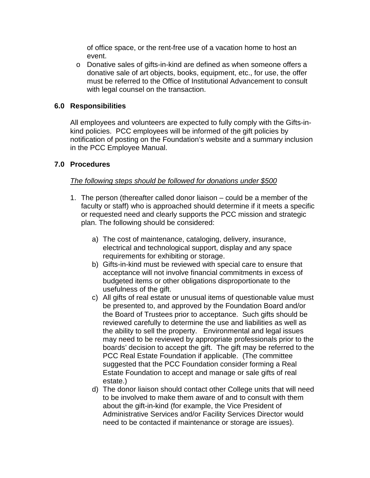of office space, or the rent-free use of a vacation home to host an event.

o Donative sales of gifts-in-kind are defined as when someone offers a donative sale of art objects, books, equipment, etc., for use, the offer must be referred to the Office of Institutional Advancement to consult with legal counsel on the transaction.

#### **6.0 Responsibilities**

All employees and volunteers are expected to fully comply with the Gifts-inkind policies. PCC employees will be informed of the gift policies by notification of posting on the Foundation's website and a summary inclusion in the PCC Employee Manual.

#### **7.0 Procedures**

#### *The following steps should be followed for donations under \$500*

- 1. The person (thereafter called donor liaison could be a member of the faculty or staff) who is approached should determine if it meets a specific or requested need and clearly supports the PCC mission and strategic plan. The following should be considered:
	- a) The cost of maintenance, cataloging, delivery, insurance, electrical and technological support, display and any space requirements for exhibiting or storage.
	- b) Gifts-in-kind must be reviewed with special care to ensure that acceptance will not involve financial commitments in excess of budgeted items or other obligations disproportionate to the usefulness of the gift.
	- c) All gifts of real estate or unusual items of questionable value must be presented to, and approved by the Foundation Board and/or the Board of Trustees prior to acceptance. Such gifts should be reviewed carefully to determine the use and liabilities as well as the ability to sell the property. Environmental and legal issues may need to be reviewed by appropriate professionals prior to the boards' decision to accept the gift. The gift may be referred to the PCC Real Estate Foundation if applicable. (The committee suggested that the PCC Foundation consider forming a Real Estate Foundation to accept and manage or sale gifts of real estate.)
	- d) The donor liaison should contact other College units that will need to be involved to make them aware of and to consult with them about the gift-in-kind (for example, the Vice President of Administrative Services and/or Facility Services Director would need to be contacted if maintenance or storage are issues).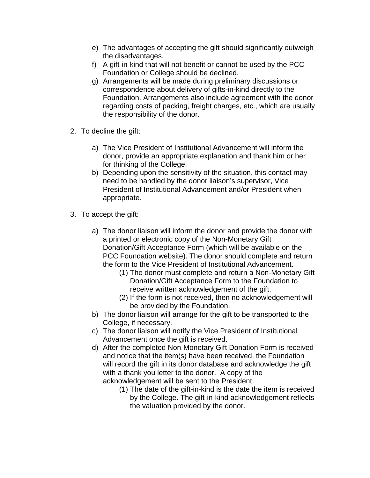- e) The advantages of accepting the gift should significantly outweigh the disadvantages.
- f) A gift-in-kind that will not benefit or cannot be used by the PCC Foundation or College should be declined.
- g) Arrangements will be made during preliminary discussions or correspondence about delivery of gifts-in-kind directly to the Foundation. Arrangements also include agreement with the donor regarding costs of packing, freight charges, etc., which are usually the responsibility of the donor.
- 2. To decline the gift:
	- a) The Vice President of Institutional Advancement will inform the donor, provide an appropriate explanation and thank him or her for thinking of the College.
	- b) Depending upon the sensitivity of the situation, this contact may need to be handled by the donor liaison's supervisor, Vice President of Institutional Advancement and/or President when appropriate.
- 3. To accept the gift:
	- a) The donor liaison will inform the donor and provide the donor with a printed or electronic copy of the Non-Monetary Gift Donation/Gift Acceptance Form (which will be available on the PCC Foundation website). The donor should complete and return the form to the Vice President of Institutional Advancement.
		- (1) The donor must complete and return a Non-Monetary Gift Donation/Gift Acceptance Form to the Foundation to receive written acknowledgement of the gift.
		- (2) If the form is not received, then no acknowledgement will be provided by the Foundation.
	- b) The donor liaison will arrange for the gift to be transported to the College, if necessary.
	- c) The donor liaison will notify the Vice President of Institutional Advancement once the gift is received.
	- d) After the completed Non-Monetary Gift Donation Form is received and notice that the item(s) have been received, the Foundation will record the gift in its donor database and acknowledge the gift with a thank you letter to the donor. A copy of the acknowledgement will be sent to the President.
		- (1) The date of the gift-in-kind is the date the item is received by the College. The gift-in-kind acknowledgement reflects the valuation provided by the donor.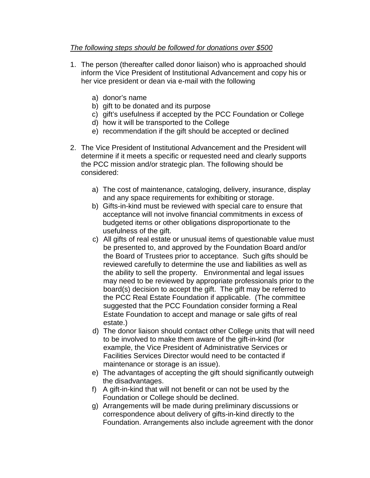### *The following steps should be followed for donations over \$500*

- 1. The person (thereafter called donor liaison) who is approached should inform the Vice President of Institutional Advancement and copy his or her vice president or dean via e-mail with the following
	- a) donor's name
	- b) gift to be donated and its purpose
	- c) gift's usefulness if accepted by the PCC Foundation or College
	- d) how it will be transported to the College
	- e) recommendation if the gift should be accepted or declined
- 2. The Vice President of Institutional Advancement and the President will determine if it meets a specific or requested need and clearly supports the PCC mission and/or strategic plan. The following should be considered:
	- a) The cost of maintenance, cataloging, delivery, insurance, display and any space requirements for exhibiting or storage.
	- b) Gifts-in-kind must be reviewed with special care to ensure that acceptance will not involve financial commitments in excess of budgeted items or other obligations disproportionate to the usefulness of the gift.
	- c) All gifts of real estate or unusual items of questionable value must be presented to, and approved by the Foundation Board and/or the Board of Trustees prior to acceptance. Such gifts should be reviewed carefully to determine the use and liabilities as well as the ability to sell the property. Environmental and legal issues may need to be reviewed by appropriate professionals prior to the board(s) decision to accept the gift. The gift may be referred to the PCC Real Estate Foundation if applicable. (The committee suggested that the PCC Foundation consider forming a Real Estate Foundation to accept and manage or sale gifts of real estate.)
	- d) The donor liaison should contact other College units that will need to be involved to make them aware of the gift-in-kind (for example, the Vice President of Administrative Services or Facilities Services Director would need to be contacted if maintenance or storage is an issue).
	- e) The advantages of accepting the gift should significantly outweigh the disadvantages.
	- f) A gift-in-kind that will not benefit or can not be used by the Foundation or College should be declined.
	- g) Arrangements will be made during preliminary discussions or correspondence about delivery of gifts-in-kind directly to the Foundation. Arrangements also include agreement with the donor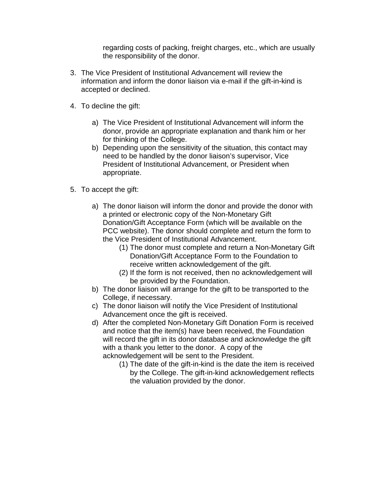regarding costs of packing, freight charges, etc., which are usually the responsibility of the donor.

- 3. The Vice President of Institutional Advancement will review the information and inform the donor liaison via e-mail if the gift-in-kind is accepted or declined.
- 4. To decline the gift:
	- a) The Vice President of Institutional Advancement will inform the donor, provide an appropriate explanation and thank him or her for thinking of the College.
	- b) Depending upon the sensitivity of the situation, this contact may need to be handled by the donor liaison's supervisor, Vice President of Institutional Advancement, or President when appropriate.
- 5. To accept the gift:
	- a) The donor liaison will inform the donor and provide the donor with a printed or electronic copy of the Non-Monetary Gift Donation/Gift Acceptance Form (which will be available on the PCC website). The donor should complete and return the form to the Vice President of Institutional Advancement.
		- (1) The donor must complete and return a Non-Monetary Gift Donation/Gift Acceptance Form to the Foundation to receive written acknowledgement of the gift.
		- (2) If the form is not received, then no acknowledgement will be provided by the Foundation.
	- b) The donor liaison will arrange for the gift to be transported to the College, if necessary.
	- c) The donor liaison will notify the Vice President of Institutional Advancement once the gift is received.
	- d) After the completed Non-Monetary Gift Donation Form is received and notice that the item(s) have been received, the Foundation will record the gift in its donor database and acknowledge the gift with a thank you letter to the donor. A copy of the acknowledgement will be sent to the President.
		- (1) The date of the gift-in-kind is the date the item is received by the College. The gift-in-kind acknowledgement reflects the valuation provided by the donor.